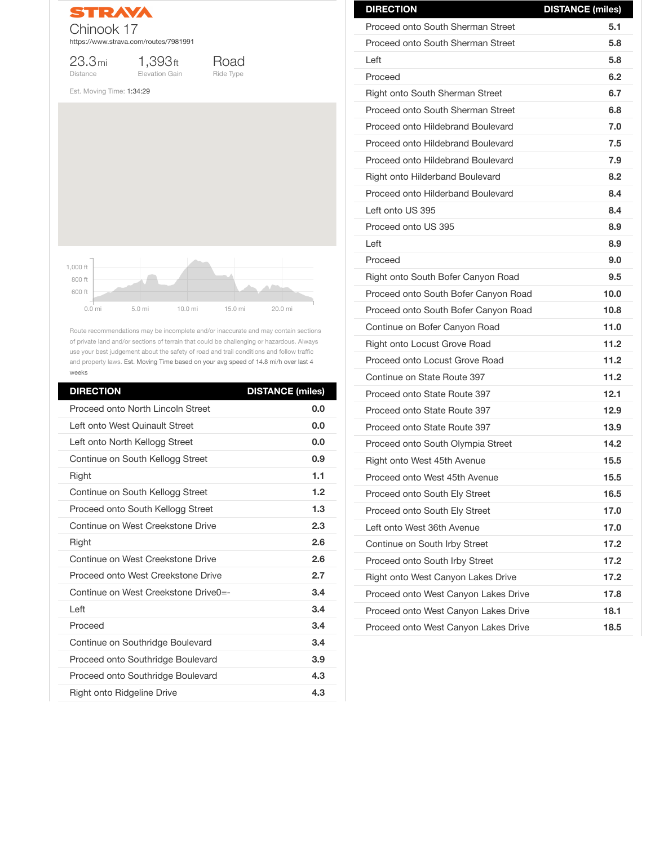

23.3mi Distance

1,393ft Elevation Gain



Est. Moving Time: 1:34:29

Route recommendations may be incomplete and/or inaccurate and may contain sections of private land and/or sections of terrain that could be challenging or hazardous. Always use your best judgement about the safety of road and trail conditions and follow traffic and property laws. Est. Moving Time based on your avg speed of 14.8 mi/h over last 4 weeks

| <b>DIRECTION</b>                         | <b>DISTANCE (miles)</b> |
|------------------------------------------|-------------------------|
| <b>Proceed onto South Sherman Street</b> | 5.1                     |
| <b>Proceed onto South Sherman Street</b> | 5.8                     |
| Left                                     | 5.8                     |
| Proceed                                  | 6.2                     |
| <b>Right onto South Sherman Street</b>   | 6.7                     |
| <b>Proceed onto South Sherman Street</b> | 6.8                     |
| <b>Proceed onto Hildebrand Boulevard</b> | 7.0                     |
| <b>Proceed onto Hildebrand Boulevard</b> | 7.5                     |
| <b>Proceed onto Hildebrand Boulevard</b> | 7.9                     |
| <b>Right onto Hilderband Boulevard</b>   | 8.2                     |
| <b>Proceed onto Hilderband Boulevard</b> | 8.4                     |
| Left onto US 395                         | 8.4                     |
| Proceed onto US 395                      | 8.9                     |
| Left                                     | 8.9                     |
| Proceed                                  | 9.0                     |
| Right onto South Bofer Canyon Road       | 9.5                     |
| Proceed onto South Bofer Canyon Road     | 10.0                    |
| Proceed onto South Bofer Canyon Road     | 10.8                    |
| Continue on Bofer Canyon Road            | 11.0                    |
| <b>Right onto Locust Grove Road</b>      | 11.2                    |
| Proceed onto Locust Grove Road           | 11.2                    |
| Continue on State Route 397              | 11.2                    |
| Proceed onto State Route 397             | 12.1                    |
| Proceed onto State Route 397             | 12.9                    |
| Proceed onto State Route 397             | 13.9                    |
| Proceed onto South Olympia Street        | 14.2                    |
| Right onto West 45th Avenue              | 15.5                    |
| Proceed onto West 45th Avenue            | 15.5                    |
| <b>Proceed onto South Ely Street</b>     | 16.5                    |
| Proceed onto South Ely Street            | 17.0                    |

| <b>DIRECTION</b>                         | <b>DISTANCE (miles)</b> |
|------------------------------------------|-------------------------|
| <b>Proceed onto North Lincoln Street</b> | 0.0                     |
| Left onto West Quinault Street           | 0.0                     |
| Left onto North Kellogg Street           | 0.0                     |
| Continue on South Kellogg Street         | 0.9                     |
| <b>Right</b>                             | 1.1                     |
| Continue on South Kellogg Street         | 1.2                     |
| Proceed onto South Kellogg Street        | 1.3                     |
| Continue on West Creekstone Drive        | 2.3                     |
| <b>Right</b>                             | 2.6                     |
| Continue on West Creekstone Drive        | 2.6                     |
| Proceed onto West Creekstone Drive       | 2.7                     |
| Continue on West Creekstone Drive0=-     | 3.4                     |
| Left                                     | 3.4                     |
| Proceed                                  | 3.4                     |
| Continue on Southridge Boulevard         | 3.4                     |
| <b>Proceed onto Southridge Boulevard</b> | 3.9                     |
| <b>Proceed onto Southridge Boulevard</b> | 4.3                     |
| <b>Right onto Ridgeline Drive</b>        | 4.3                     |



| Left onto West 36th Avenue                | 17.0 |
|-------------------------------------------|------|
| Continue on South Irby Street             | 17.2 |
| <b>Proceed onto South Irby Street</b>     | 17.2 |
| <b>Right onto West Canyon Lakes Drive</b> | 17.2 |
| Proceed onto West Canyon Lakes Drive      | 17.8 |
| Proceed onto West Canyon Lakes Drive      | 18.1 |
| Proceed onto West Canyon Lakes Drive      | 18.5 |